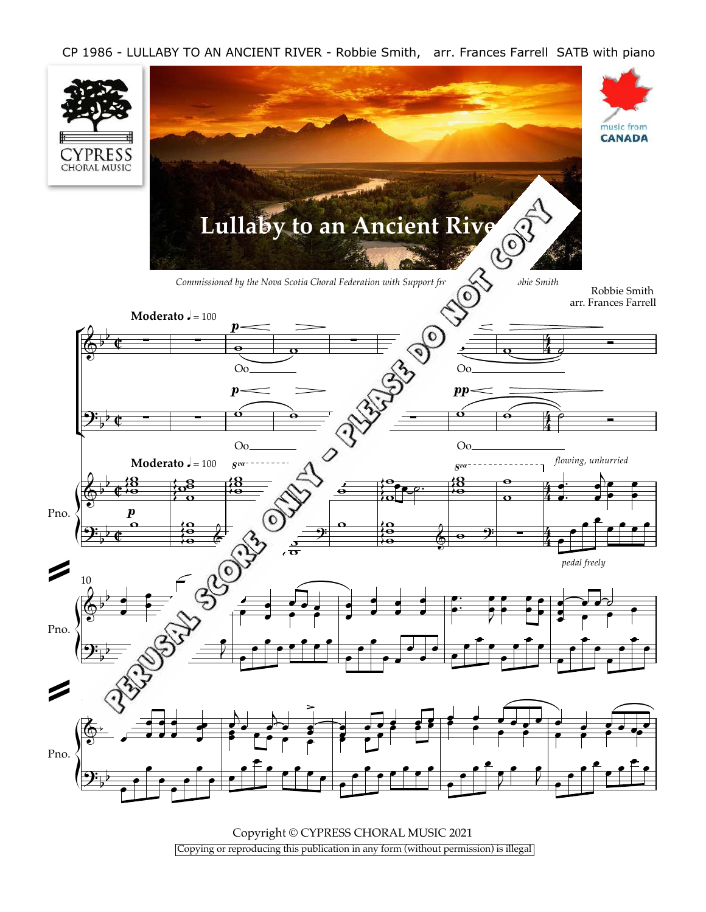CP 1986 - LULLABY TO AN ANCIENT RIVER - Robbie Smith, arr. Frances Farrell SATB with piano



Copyright © CYPRESS CHORAL MUSIC 2021 Copying or reproducing this publication in any form (without permission) is illegal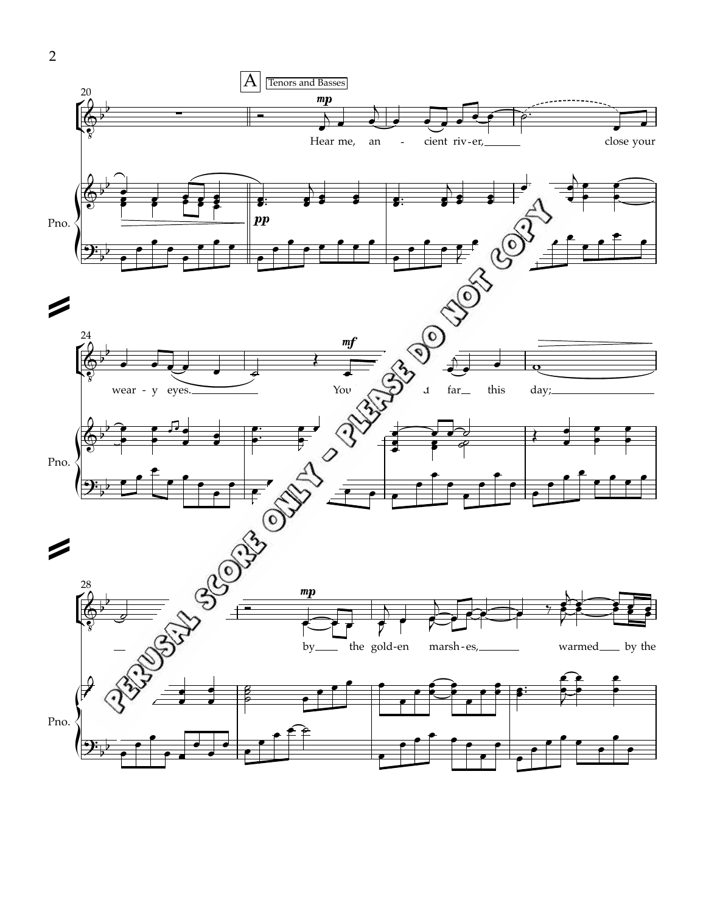

2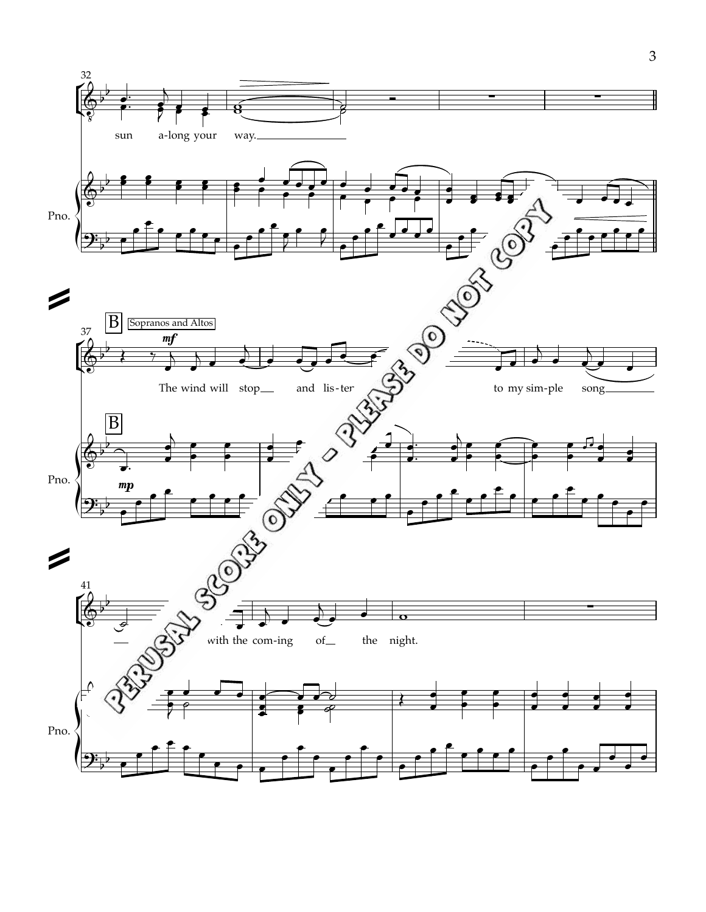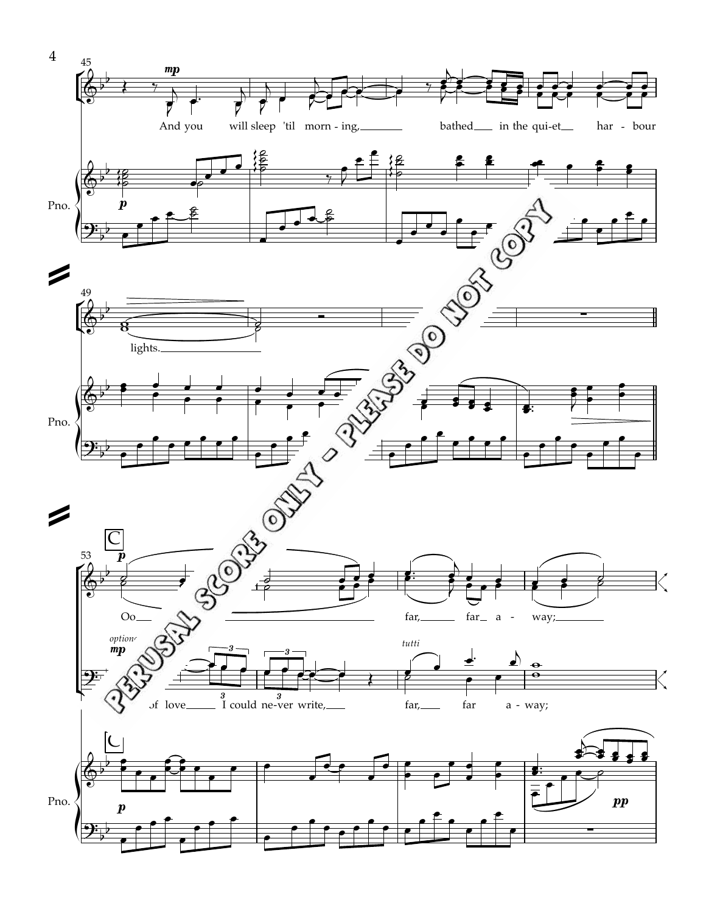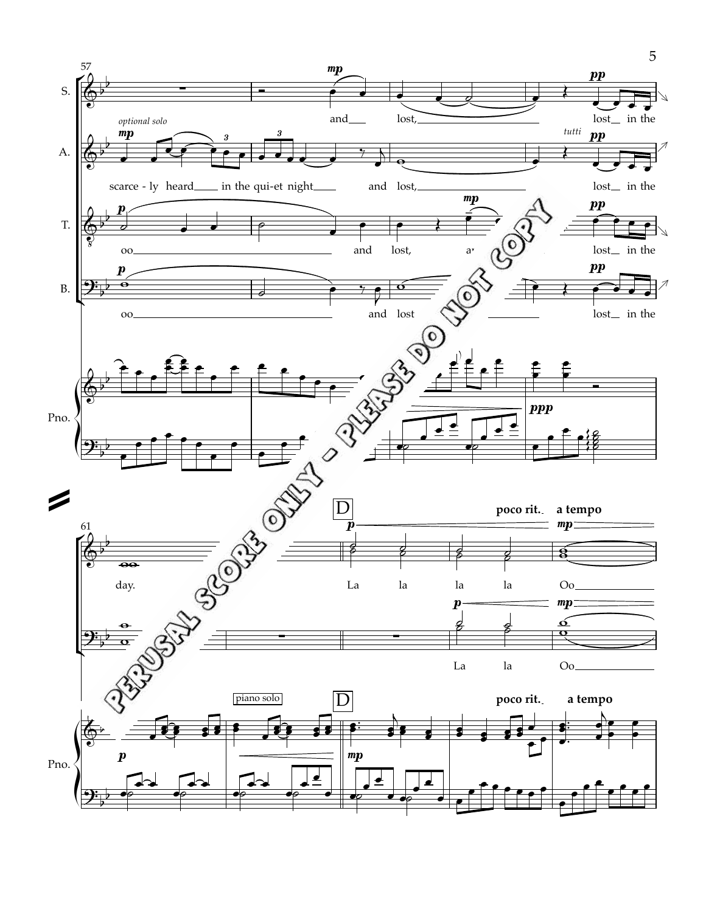

5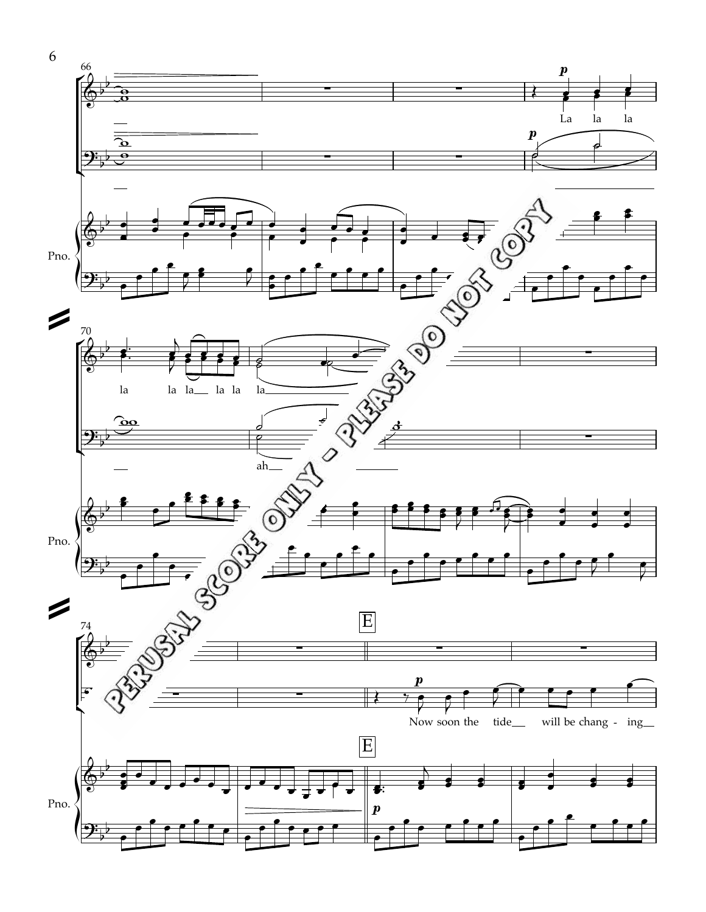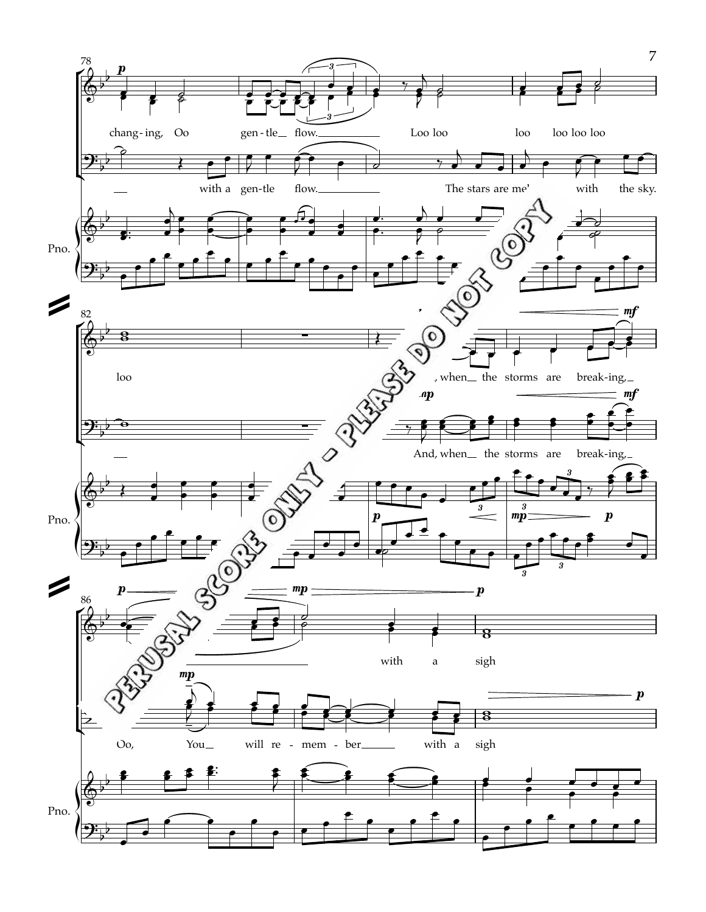